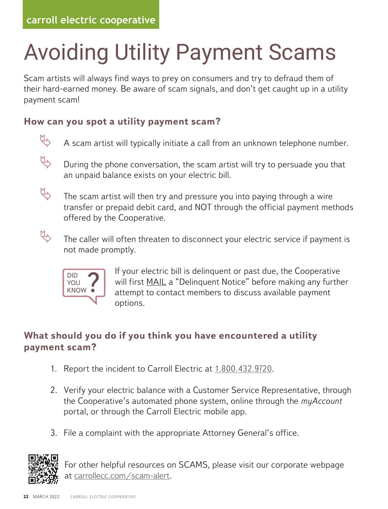### Avoiding Utility Payment Scams of the interest of the interest of scame  $\mathcal{L}$  scame of scame of scame of scame of scame of scame of scame of scame of scame of scame of scame of scame of scame of scame of scame of scame of scame of scame of scame of Avoiding Utility Payment Scams

Scam artists will always find ways to prey on consumers and try to defraud them of Scam artists will always rind ways to prey on consumers and try to deriadd them of<br>their hard-earned money. Be aware of scam signals, and don't get caught up in a utility payment scam! EXTERN STATISTS PAYMENT SCALLER SCALLER SCALLER<br>Cam artists will always find ways to prey on consumers and try to defraud them of Scam artists will always find ways to prey on consumers and try to defraud ieir hard-earned money. Be aware of scam signals, and don't get caught up in a utility

### **How can you spot a utility payment scam? How can you spot a utility payment scam?** ayment scam.<br>low can you spot a utility payment scam?





 $\updownarrow$  During the phone conversation, the scam artist will try to persuade you that an unpaid balance exists on your electric bill.  $n = 1$ During the phone conversation, the scam artist will try to persuad



The scam artist will then try and pressure you into paying through a wire  $\leftrightarrow$  The scam artist will then try and pressure you into paying through a wire transfer or prepaid debit card, and NOT through the official payment methods offered by the Cooperative.



The caller will often threaten to disconnect your electric service if payment is<br>not made promptly. not made promptly.  $M_{\rm h}$  scan artist will then try and pressure you into paying the paying through and paying through a paying through a set  $m$ et made promper $\mu$ .



If your electric bill is delinquent or past due, the Cooperative FOU WILL FIRST MAIL a "Delinquent Notice" before making any further<br>KNOW  $t_{\text{KNOW}}$  attempt to contact members to discuss available payment<br>cartices  $\sim$  options.  $\mathcal{L}_{\mathbf{p}}$  of  $\mathcal{L}_{\mathbf{p}}$  $T$  called the called threaten to disconnect your electric service if  $p$  and  $q$  and  $q$  and  $q$  and  $q$  and  $q$  and  $q$  and  $q$  and  $q$  and  $q$  and  $q$  and  $q$  and  $q$  and  $q$  and  $q$  and  $q$  and  $q$  and  $q$  and  $q$  and

#### **What should you do if you think you have encountered a utility payment scam?**  $\sim$  think you have encountered or philip. at should you do if you think you have encountered a utility<br>ment scam?  $\sum_{i=1}^{n} a_i$  $m_{\text{beam}}$

- 1. Report the incident to Carroll Electric at 1.800.432.9720.  $\cdot$  to Carroll Flectric at 1.800.432.9720
- 2. Verify your electric balance with a Customer Service Representative, through verify your electric balance with a customer Service Representative, through<br>the Cooperative's automated phone system, online through the *myAccount* portal, or through the Carroll Electric mobile app. 1 Vorifus your electric belance with a Guetamer Service Penrocentative, through balance with a Customer Service Re
- 3. File a complaint with the appropriate Attorney General's office. 3. File a complaint with the appropriate Attorney General's office.



For other helpful resources on SCAMS, please visit our corporate webpage at carrollecc.com/scam-alert. **payment scam?** 1. Report the incident to Carroll Electric at 1.800.432.9720.  $\Box$  Report the incident to  $C_2$  at 1.800.432.9720.432.9720.432.9720.432.9720.432.9720.432.9720.432.9720.432.9720.432.9720.432.9720.432.9720.432.9720.432.9720.432.9720.432.9720.432.9720.432.9720.432.9720.432.9720.432.972  $2.92$  Verify your electric balance with a Customer Service Representation  $\mathcal{C}$ **What is solved as a vailable in SCAMS**, please visit our corporate webpage<br>What is a semillable care (seem alort